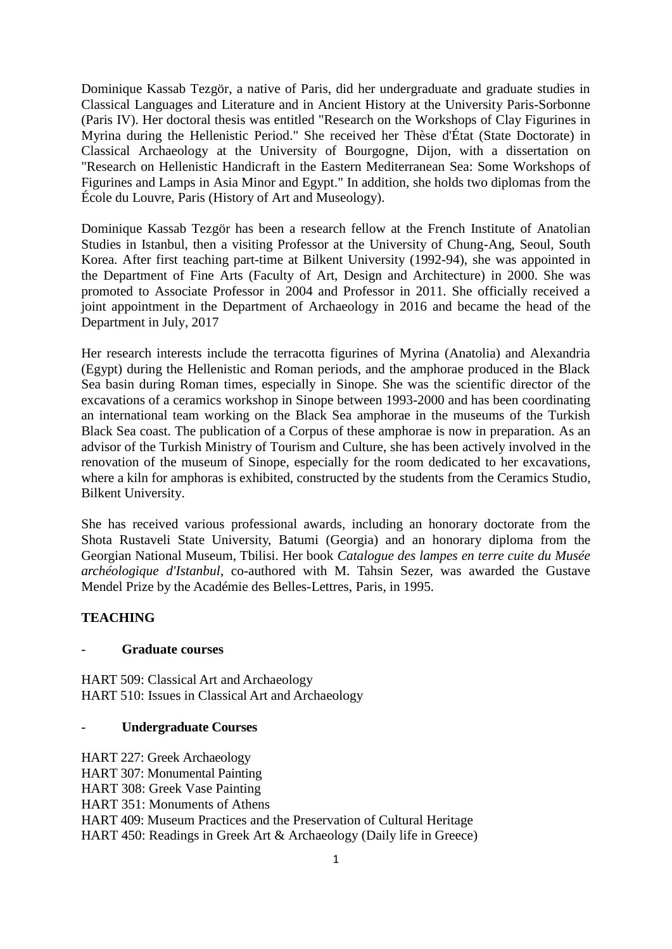Dominique Kassab Tezgör, a native of Paris, did her undergraduate and graduate studies in Classical Languages and Literature and in Ancient History at the University Paris-Sorbonne (Paris IV). Her doctoral thesis was entitled "Research on the Workshops of Clay Figurines in Myrina during the Hellenistic Period." She received her Thèse d'État (State Doctorate) in Classical Archaeology at the University of Bourgogne, Dijon, with a dissertation on "Research on Hellenistic Handicraft in the Eastern Mediterranean Sea: Some Workshops of Figurines and Lamps in Asia Minor and Egypt." In addition, she holds two diplomas from the École du Louvre, Paris (History of Art and Museology).

Dominique Kassab Tezgör has been a research fellow at the French Institute of Anatolian Studies in Istanbul, then a visiting Professor at the University of Chung-Ang, Seoul, South Korea. After first teaching part-time at Bilkent University (1992-94), she was appointed in the Department of Fine Arts (Faculty of Art, Design and Architecture) in 2000. She was promoted to Associate Professor in 2004 and Professor in 2011. She officially received a joint appointment in the Department of Archaeology in 2016 and became the head of the Department in July, 2017

Her research interests include the terracotta figurines of Myrina (Anatolia) and Alexandria (Egypt) during the Hellenistic and Roman periods, and the amphorae produced in the Black Sea basin during Roman times, especially in Sinope. She was the scientific director of the excavations of a ceramics workshop in Sinope between 1993-2000 and has been coordinating an international team working on the Black Sea amphorae in the museums of the Turkish Black Sea coast. The publication of a Corpus of these amphorae is now in preparation. As an advisor of the Turkish Ministry of Tourism and Culture, she has been actively involved in the renovation of the museum of Sinope, especially for the room dedicated to her excavations, where a kiln for amphoras is exhibited, constructed by the students from the Ceramics Studio, Bilkent University.

She has received various professional awards, including an honorary doctorate from the Shota Rustaveli State University, Batumi (Georgia) and an honorary diploma from the Georgian National Museum, Tbilisi. Her book *Catalogue des lampes en terre cuite du Musée archéologique d'Istanbul*, co-authored with M. Tahsin Sezer, was awarded the Gustave Mendel Prize by the Académie des Belles-Lettres, Paris, in 1995.

# **TEACHING**

### - **Graduate courses**

HART 509: Classical Art and Archaeology HART 510: Issues in Classical Art and Archaeology

#### - **Undergraduate Courses**

HART 227: Greek Archaeology HART 307: Monumental Painting HART 308: Greek Vase Painting HART 351: Monuments of Athens HART 409: Museum Practices and the Preservation of Cultural Heritage HART 450: Readings in Greek Art & Archaeology (Daily life in Greece)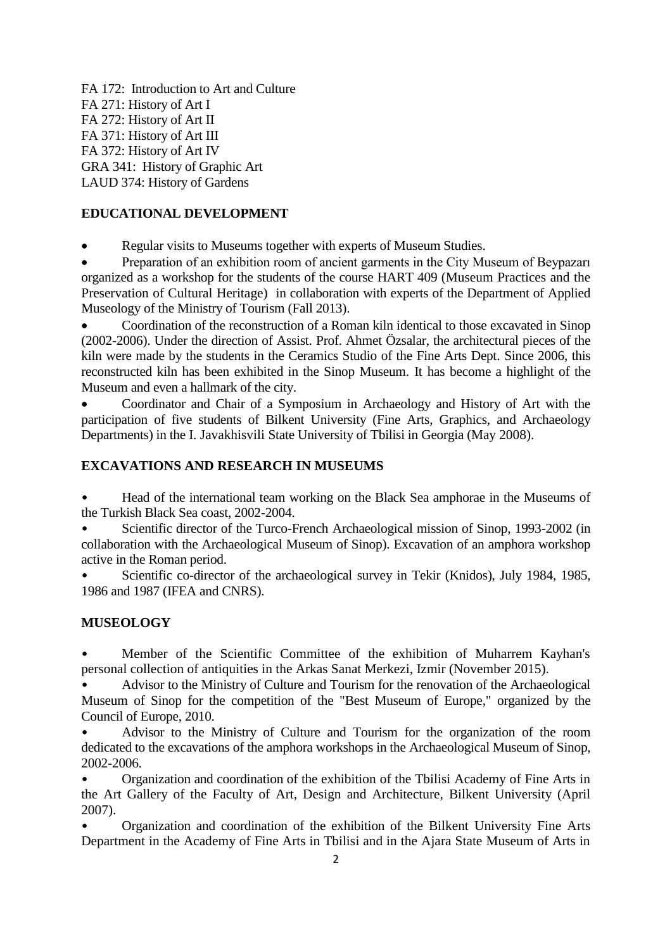FA 172: Introduction to Art and Culture FA 271: History of Art I FA 272: History of Art II FA 371: History of Art III FA 372: History of Art IV GRA 341: History of Graphic Art LAUD 374: History of Gardens

## **EDUCATIONAL DEVELOPMENT**

Regular visits to Museums together with experts of Museum Studies.

• Preparation of an exhibition room of ancient garments in the City Museum of Beypazari organized as a workshop for the students of the course HART 409 (Museum Practices and the Preservation of Cultural Heritage) in collaboration with experts of the Department of Applied Museology of the Ministry of Tourism (Fall 2013).

 Coordination of the reconstruction of a Roman kiln identical to those excavated in Sinop (2002-2006). Under the direction of Assist. Prof. Ahmet Özsalar, the architectural pieces of the kiln were made by the students in the Ceramics Studio of the Fine Arts Dept. Since 2006, this reconstructed kiln has been exhibited in the Sinop Museum. It has become a highlight of the Museum and even a hallmark of the city.

 Coordinator and Chair of a Symposium in Archaeology and History of Art with the participation of five students of Bilkent University (Fine Arts, Graphics, and Archaeology Departments) in the I. Javakhisvili State University of Tbilisi in Georgia (May 2008).

## **EXCAVATIONS AND RESEARCH IN MUSEUMS**

• Head of the international team working on the Black Sea amphorae in the Museums of the Turkish Black Sea coast, 2002-2004.

• Scientific director of the Turco-French Archaeological mission of Sinop, 1993-2002 (in collaboration with the Archaeological Museum of Sinop). Excavation of an amphora workshop active in the Roman period.

• Scientific co-director of the archaeological survey in Tekir (Knidos), July 1984, 1985, 1986 and 1987 (IFEA and CNRS).

### **MUSEOLOGY**

• Member of the Scientific Committee of the exhibition of Muharrem Kayhan's personal collection of antiquities in the Arkas Sanat Merkezi, Izmir (November 2015).

• Advisor to the Ministry of Culture and Tourism for the renovation of the Archaeological Museum of Sinop for the competition of the "Best Museum of Europe," organized by the Council of Europe, 2010.

• Advisor to the Ministry of Culture and Tourism for the organization of the room dedicated to the excavations of the amphora workshops in the Archaeological Museum of Sinop, 2002-2006.

• Organization and coordination of the exhibition of the Tbilisi Academy of Fine Arts in the Art Gallery of the Faculty of Art, Design and Architecture, Bilkent University (April 2007).

• Organization and coordination of the exhibition of the Bilkent University Fine Arts Department in the Academy of Fine Arts in Tbilisi and in the Ajara State Museum of Arts in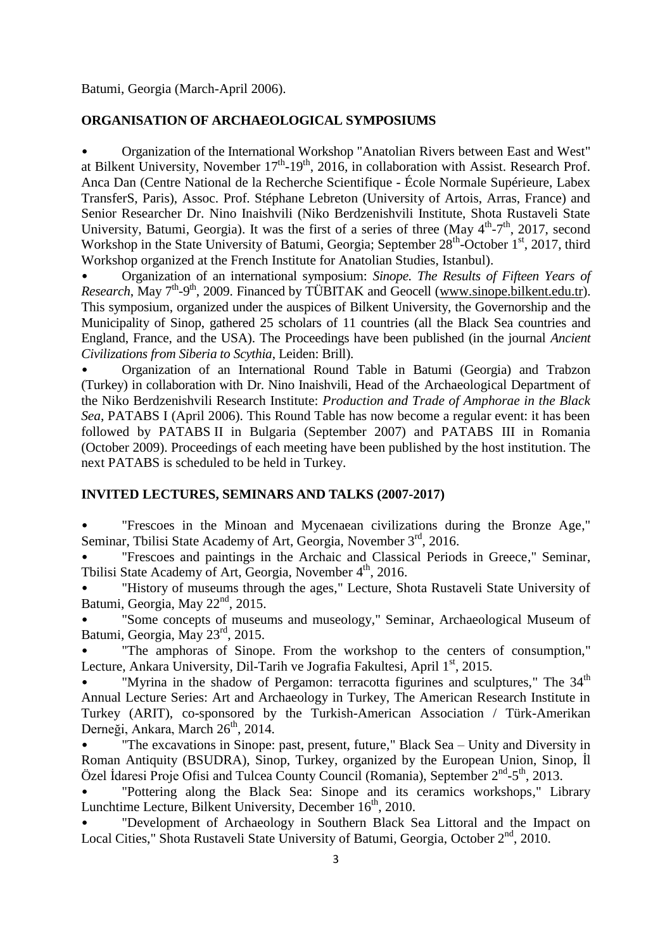Batumi, Georgia (March-April 2006).

### **ORGANISATION OF ARCHAEOLOGICAL SYMPOSIUMS**

• Organization of the International Workshop "Anatolian Rivers between East and West" at Bilkent University, November  $17<sup>th</sup>$ -19<sup>th</sup>, 2016, in collaboration with Assist. Research Prof. Anca Dan (Centre National de la Recherche Scientifique - École Normale Supérieure, Labex TransferS, Paris), Assoc. Prof. Stéphane Lebreton (University of Artois, Arras, France) and Senior Researcher Dr. Nino Inaishvili (Niko Berdzenishvili Institute, Shota Rustaveli State University, Batumi, Georgia). It was the first of a series of three (May  $4<sup>th</sup> - 7<sup>th</sup>$ , 2017, second Workshop in the State University of Batumi, Georgia; September 28<sup>th</sup>-October 1<sup>st</sup>, 2017, third Workshop organized at the French Institute for Anatolian Studies, Istanbul).

• Organization of an international symposium: *Sinope. The Results of Fifteen Years of*  Research, May 7<sup>th</sup>-9<sup>th</sup>, 2009. Financed by TÜBITAK and Geocell [\(www.sinope.bilkent.edu.tr\)](http://www.sinope.bilkent.edu.tr/). This symposium, organized under the auspices of Bilkent University, the Governorship and the Municipality of Sinop, gathered 25 scholars of 11 countries (all the Black Sea countries and England, France, and the USA). The Proceedings have been published (in the journal *Ancient Civilizations from Siberia to Scythia*, Leiden: Brill).

• Organization of an International Round Table in Batumi (Georgia) and Trabzon (Turkey) in collaboration with Dr. Nino Inaishvili, Head of the Archaeological Department of the Niko Berdzenishvili Research Institute: *Production and Trade of Amphorae in the Black Sea*, PATABS I (April 2006). This Round Table has now become a regular event: it has been followed by PATABS II in Bulgaria (September 2007) and PATABS III in Romania (October 2009). Proceedings of each meeting have been published by the host institution. The next PATABS is scheduled to be held in Turkey.

## **INVITED LECTURES, SEMINARS AND TALKS (2007-2017)**

"Frescoes in the Minoan and Mycenaean civilizations during the Bronze Age," Seminar, Tbilisi State Academy of Art, Georgia, November 3rd, 2016.

• "Frescoes and paintings in the Archaic and Classical Periods in Greece," Seminar, Tbilisi State Academy of Art, Georgia, November 4<sup>th</sup>, 2016.

"History of museums through the ages," Lecture, Shota Rustaveli State University of Batumi, Georgia, May 22<sup>nd</sup>, 2015.

"Some concepts of museums and museology," Seminar, Archaeological Museum of Batumi, Georgia, May 23rd, 2015.

"The amphoras of Sinope. From the workshop to the centers of consumption," Lecture, Ankara University, Dil-Tarih ve Jografia Fakultesi, April 1<sup>st</sup>, 2015.

"Myrina in the shadow of Pergamon: terracotta figurines and sculptures," The  $34<sup>th</sup>$ Annual Lecture Series: Art and Archaeology in Turkey, The American Research Institute in Turkey (ARIT), co-sponsored by the Turkish-American Association / Türk-Amerikan Derneği, Ankara, March 26<sup>th</sup>, 2014.

"The excavations in Sinope: past, present, future," Black Sea – Unity and Diversity in Roman Antiquity (BSUDRA), Sinop, Turkey, organized by the European Union, Sinop, İl Özel İdaresi Proje Ofisi and Tulcea County Council (Romania), September 2<sup>nd</sup>-5<sup>th</sup>, 2013.

"Pottering along the Black Sea: Sinope and its ceramics workshops," Library Lunchtime Lecture, Bilkent University, December 16<sup>th</sup>, 2010.

• "Development of Archaeology in Southern Black Sea Littoral and the Impact on Local Cities," Shota Rustaveli State University of Batumi, Georgia, October 2<sup>nd</sup>, 2010.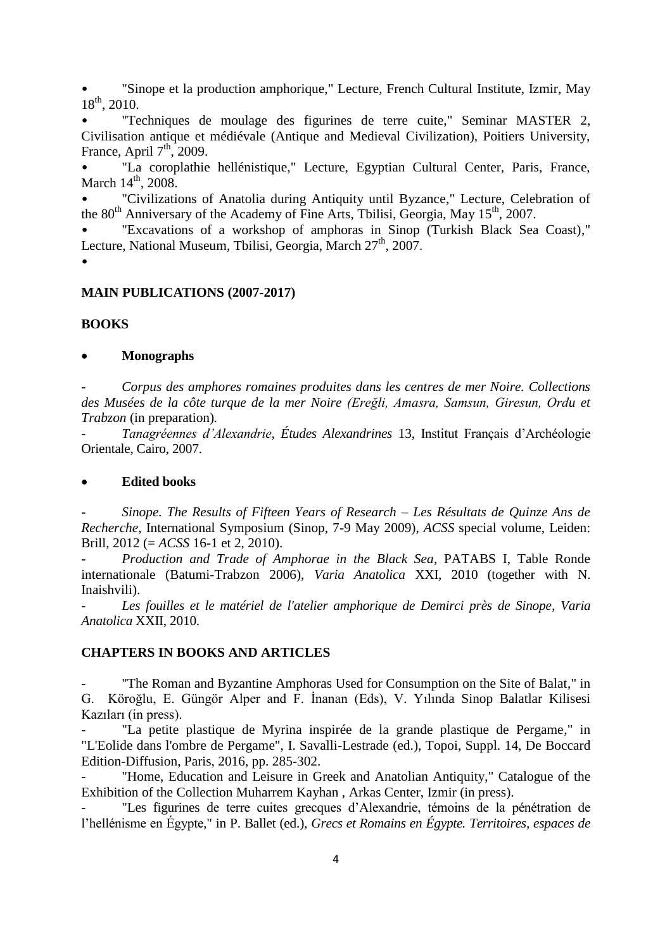• "Sinope et la production amphorique," Lecture, French Cultural Institute, Izmir, May 18th , 2010.

• "Techniques de moulage des figurines de terre cuite," Seminar MASTER 2, Civilisation antique et médiévale (Antique and Medieval Civilization), Poitiers University, France, April  $7<sup>th</sup>$ , 2009.

• "La coroplathie hellénistique," Lecture, Egyptian Cultural Center, Paris, France, March  $14^{\text{th}}$ , 2008.

• "Civilizations of Anatolia during Antiquity until Byzance," Lecture, Celebration of the 80<sup>th</sup> Anniversary of the Academy of Fine Arts, Tbilisi, Georgia, May 15<sup>th</sup>, 2007.

"Excavations of a workshop of amphoras in Sinop (Turkish Black Sea Coast)," Lecture, National Museum, Tbilisi, Georgia, March 27<sup>th</sup>, 2007.

•

#### **MAIN PUBLICATIONS (2007-2017)**

#### **BOOKS**

#### **Monographs**

- *Corpus des amphores romaines produites dans les centres de mer Noire. Collections des Musées de la côte turque de la mer Noire (Ereğli, Amasra, Samsun, Giresun, Ordu et Trabzon* (in preparation)*.*

- *Tanagréennes d'Alexandrie*, *Études Alexandrines* 13*,* Institut Français d'Archéologie Orientale, Cairo, 2007.

#### **Edited books**

- *Sinope. The Results of Fifteen Years of Research – Les Résultats de Quinze Ans de Recherche*, International Symposium (Sinop, 7-9 May 2009), *ACSS* special volume, Leiden: Brill, 2012 (= *ACSS* 16-1 et 2, 2010).

- *Production and Trade of Amphorae in the Black Sea*, PATABS I, Table Ronde internationale (Batumi-Trabzon 2006), *Varia Anatolica* XXI, 2010 (together with N. Inaishvili).

Les fouilles et le matériel de l'atelier amphorique de Demirci près de Sinope, Varia *Anatolica* XXII, 2010.

### **CHAPTERS IN BOOKS AND ARTICLES**

"The Roman and Byzantine Amphoras Used for Consumption on the Site of Balat," in G. Köroğlu, E. Güngör Alper and F. İnanan (Eds), V. Yılında Sinop Balatlar Kilisesi Kazıları (in press).

"La petite plastique de Myrina inspirée de la grande plastique de Pergame," in "L'Eolide dans l'ombre de Pergame", I. Savalli-Lestrade (ed.), Topoi, Suppl. 14, De Boccard Edition-Diffusion, Paris, 2016, pp. 285-302.

"Home, Education and Leisure in Greek and Anatolian Antiquity," Catalogue of the Exhibition of the Collection Muharrem Kayhan , Arkas Center, Izmir (in press).

"Les figurines de terre cuites grecques d'Alexandrie, témoins de la pénétration de l'hellénisme en Égypte," in P. Ballet (ed.), *Grecs et Romains en Égypte. Territoires, espaces de*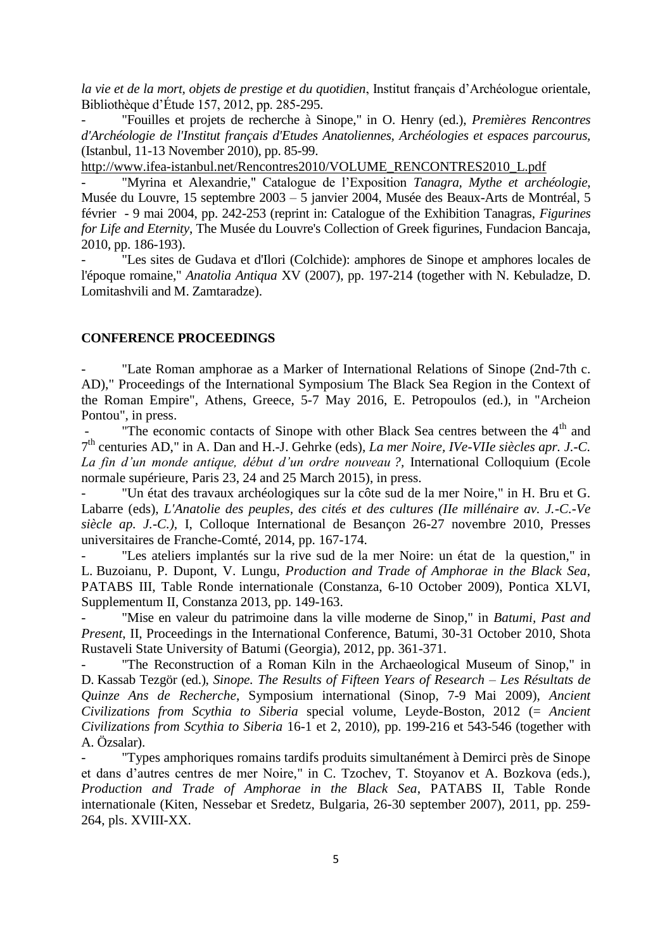*la vie et de la mort, objets de prestige et du quotidien*, Institut français d'Archéologue orientale, Bibliothèque d'Étude 157, 2012, pp. 285-295.

- "Fouilles et projets de recherche à Sinope," in O. Henry (ed.), *Premières Rencontres d'Archéologie de l'Institut français d'Etudes Anatoliennes, Archéologies et espaces parcourus,* (Istanbul, 11-13 November 2010), pp. 85-99.

[http://www.ifea-istanbul.net/Rencontres2010/VOLUME\\_RENCONTRES2010\\_L.pdf](http://www.ifea-istanbul.net/Rencontres2010/VOLUME_RENCONTRES2010_L.pdf)

- "Myrina et Alexandrie," Catalogue de l'Exposition *Tanagra, Mythe et archéologie*, Musée du Louvre, 15 septembre 2003 – 5 janvier 2004, Musée des Beaux-Arts de Montréal, 5 février - 9 mai 2004, pp. 242-253 (reprint in: Catalogue of the Exhibition Tanagras, *Figurines for Life and Eternity*, The Musée du Louvre's Collection of Greek figurines, Fundacion Bancaja, 2010, pp. 186-193).

"Les sites de Gudava et d'Ilori (Colchide): amphores de Sinope et amphores locales de l'époque romaine," *Anatolia Antiqua* XV (2007), pp. 197-214 (together with N. Kebuladze, D. Lomitashvili and M. Zamtaradze).

#### **CONFERENCE PROCEEDINGS**

"Late Roman amphorae as a Marker of International Relations of Sinope (2nd-7th c. AD)," Proceedings of the International Symposium The Black Sea Region in the Context of the Roman Empire", Athens, Greece, 5-7 May 2016, E. Petropoulos (ed.), in "Archeion Pontou", in press.

"The economic contacts of Sinope with other Black Sea centres between the  $4<sup>th</sup>$  and 7 th centuries AD," in A. Dan and H.-J. Gehrke (eds), *La mer Noire, IVe-VIIe siècles apr. J.-C. La fin d'un monde antique, début d'un ordre nouveau ?,* International Colloquium (Ecole normale supérieure, Paris 23, 24 and 25 March 2015), in press.

"Un état des travaux archéologiques sur la côte sud de la mer Noire," in H. Bru et G. Labarre (eds), *L'Anatolie des peuples, des cités et des cultures (IIe millénaire av. J.-C.-Ve siècle ap. J.-C.),* I, Colloque International de Besançon 26-27 novembre 2010, Presses universitaires de Franche-Comté, 2014, pp. 167-174.

"Les ateliers implantés sur la rive sud de la mer Noire: un état de la question," in L. Buzoianu, P. Dupont, V. Lungu, *Production and Trade of Amphorae in the Black Sea*, PATABS III, Table Ronde internationale (Constanza, 6-10 October 2009), Pontica XLVI, Supplementum II, Constanza 2013, pp. 149-163.

"Mise en valeur du patrimoine dans la ville moderne de Sinop," in *Batumi, Past and Present*, II, Proceedings in the International Conference, Batumi, 30-31 October 2010, Shota Rustaveli State University of Batumi (Georgia), 2012, pp. 361-371.

"The Reconstruction of a Roman Kiln in the Archaeological Museum of Sinop," in D. Kassab Tezgör (ed.), *Sinope. The Results of Fifteen Years of Research – Les Résultats de Quinze Ans de Recherche*, Symposium international (Sinop, 7-9 Mai 2009), *Ancient Civilizations from Scythia to Siberia* special volume, Leyde-Boston, 2012 (= *Ancient Civilizations from Scythia to Siberia* 16-1 et 2, 2010), pp. 199-216 et 543-546 (together with A. Özsalar).

"Types amphoriques romains tardifs produits simultanément à Demirci près de Sinope et dans d'autres centres de mer Noire," in C. Tzochev, T. Stoyanov et A. Bozkova (eds.), *Production and Trade of Amphorae in the Black Sea*, PATABS II, Table Ronde internationale (Kiten, Nessebar et Sredetz, Bulgaria, 26-30 september 2007), 2011, pp. 259- 264, pls. XVIII-XX.